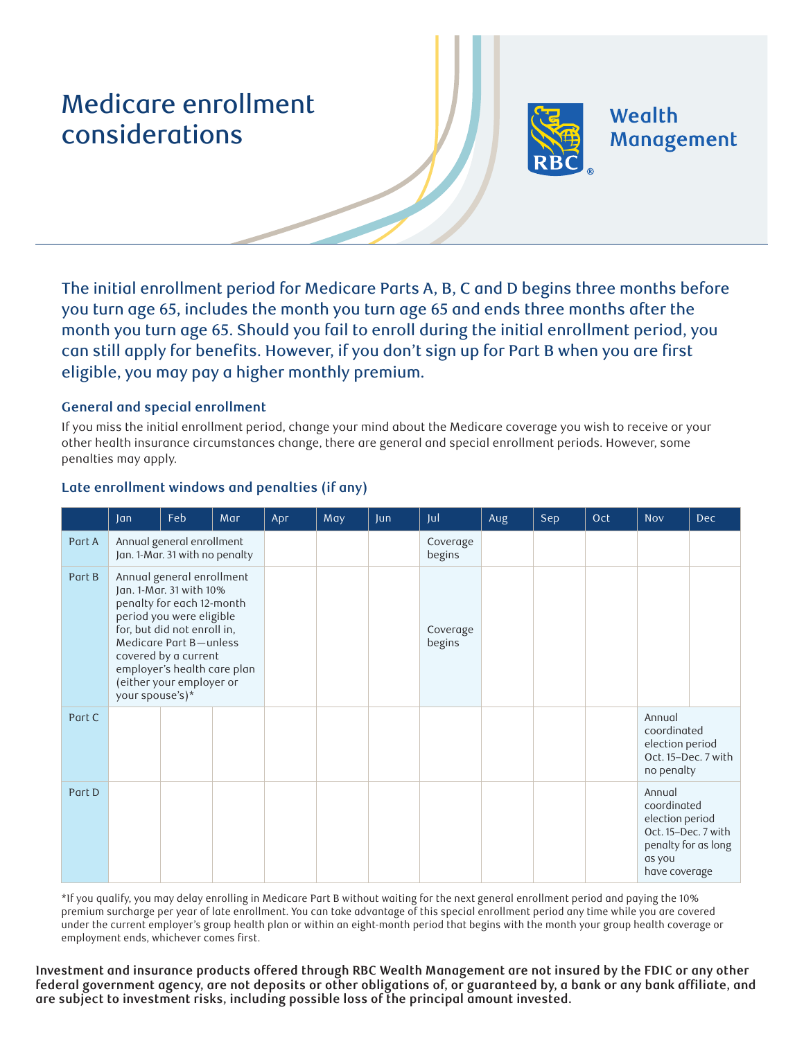# Medicare enrollment considerations



Wealth Management

The initial enrollment period for Medicare Parts A, B, C and D begins three months before you turn age 65, includes the month you turn age 65 and ends three months after the month you turn age 65. Should you fail to enroll during the initial enrollment period, you can still apply for benefits. However, if you don't sign up for Part B when you are first eligible, you may pay a higher monthly premium.

## **General and special enrollment**

If you miss the initial enrollment period, change your mind about the Medicare coverage you wish to receive or your other health insurance circumstances change, there are general and special enrollment periods. However, some penalties may apply.

|        | Jan                                                                                                                                                                                                                                                                          | Feb | Mar | Apr | May | Jun                | Jul                | Aug | Sep | Oct | <b>Nov</b>                                                                                                        | <b>Dec</b> |
|--------|------------------------------------------------------------------------------------------------------------------------------------------------------------------------------------------------------------------------------------------------------------------------------|-----|-----|-----|-----|--------------------|--------------------|-----|-----|-----|-------------------------------------------------------------------------------------------------------------------|------------|
| Part A | Annual general enrollment<br>Jan. 1-Mar. 31 with no penalty                                                                                                                                                                                                                  |     |     |     |     |                    | Coverage<br>begins |     |     |     |                                                                                                                   |            |
| Part B | Annual general enrollment<br>Jan. 1-Mar. 31 with 10%<br>penalty for each 12-month<br>period you were eligible<br>for, but did not enroll in,<br>Medicare Part B-unless<br>covered by a current<br>employer's health care plan<br>(either your employer or<br>your spouse's)* |     |     |     |     | Coverage<br>begins |                    |     |     |     |                                                                                                                   |            |
| Part C |                                                                                                                                                                                                                                                                              |     |     |     |     |                    |                    |     |     |     | Annual<br>coordinated<br>election period<br>Oct. 15-Dec. 7 with<br>no penalty                                     |            |
| Part D |                                                                                                                                                                                                                                                                              |     |     |     |     |                    |                    |     |     |     | Annual<br>coordinated<br>election period<br>Oct. 15-Dec. 7 with<br>penalty for as long<br>as you<br>have coverage |            |

## **Late enrollment windows and penalties (if any)**

\*If you qualify, you may delay enrolling in Medicare Part B without waiting for the next general enrollment period and paying the 10% premium surcharge per year of late enrollment. You can take advantage of this special enrollment period any time while you are covered under the current employer's group health plan or within an eight-month period that begins with the month your group health coverage or employment ends, whichever comes first.

**Investment and insurance products offered through RBC Wealth Management are not insured by the FDIC or any other**  federal government agency, are not deposits or other obligations of, or guaranteed by, a bank or any bank affiliate, and **are subject to investment risks, including possible loss of the principal amount invested.**